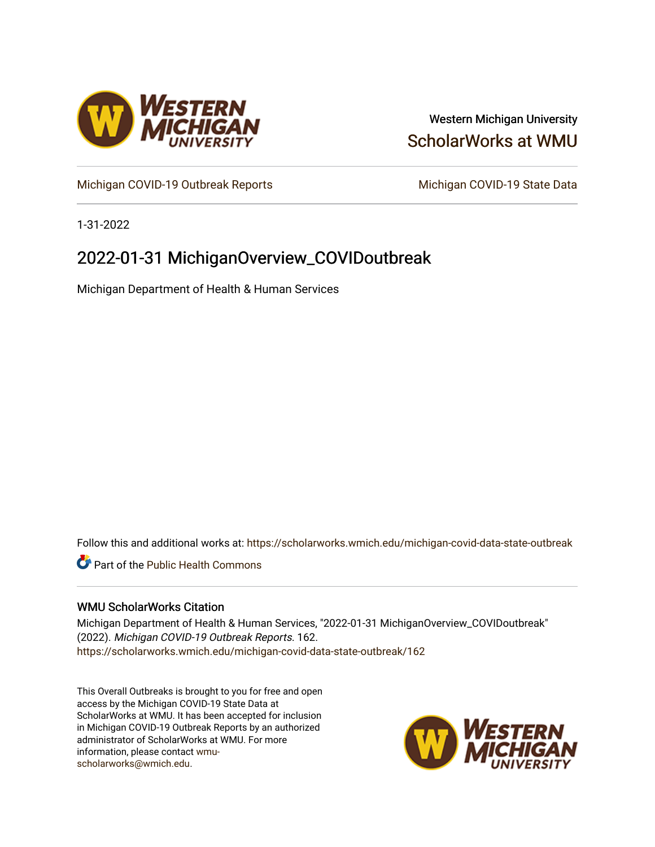

### Western Michigan University [ScholarWorks at WMU](https://scholarworks.wmich.edu/)

[Michigan COVID-19 Outbreak Reports](https://scholarworks.wmich.edu/michigan-covid-data-state-outbreak) Michigan COVID-19 State Data

1-31-2022

## 2022-01-31 MichiganOverview\_COVIDoutbreak

Michigan Department of Health & Human Services

Follow this and additional works at: [https://scholarworks.wmich.edu/michigan-covid-data-state-outbreak](https://scholarworks.wmich.edu/michigan-covid-data-state-outbreak?utm_source=scholarworks.wmich.edu%2Fmichigan-covid-data-state-outbreak%2F162&utm_medium=PDF&utm_campaign=PDFCoverPages)

**C** Part of the Public Health Commons

#### WMU ScholarWorks Citation

Michigan Department of Health & Human Services, "2022-01-31 MichiganOverview\_COVIDoutbreak" (2022). Michigan COVID-19 Outbreak Reports. 162. [https://scholarworks.wmich.edu/michigan-covid-data-state-outbreak/162](https://scholarworks.wmich.edu/michigan-covid-data-state-outbreak/162?utm_source=scholarworks.wmich.edu%2Fmichigan-covid-data-state-outbreak%2F162&utm_medium=PDF&utm_campaign=PDFCoverPages) 

This Overall Outbreaks is brought to you for free and open access by the Michigan COVID-19 State Data at ScholarWorks at WMU. It has been accepted for inclusion in Michigan COVID-19 Outbreak Reports by an authorized administrator of ScholarWorks at WMU. For more information, please contact [wmu](mailto:wmu-scholarworks@wmich.edu)[scholarworks@wmich.edu.](mailto:wmu-scholarworks@wmich.edu)